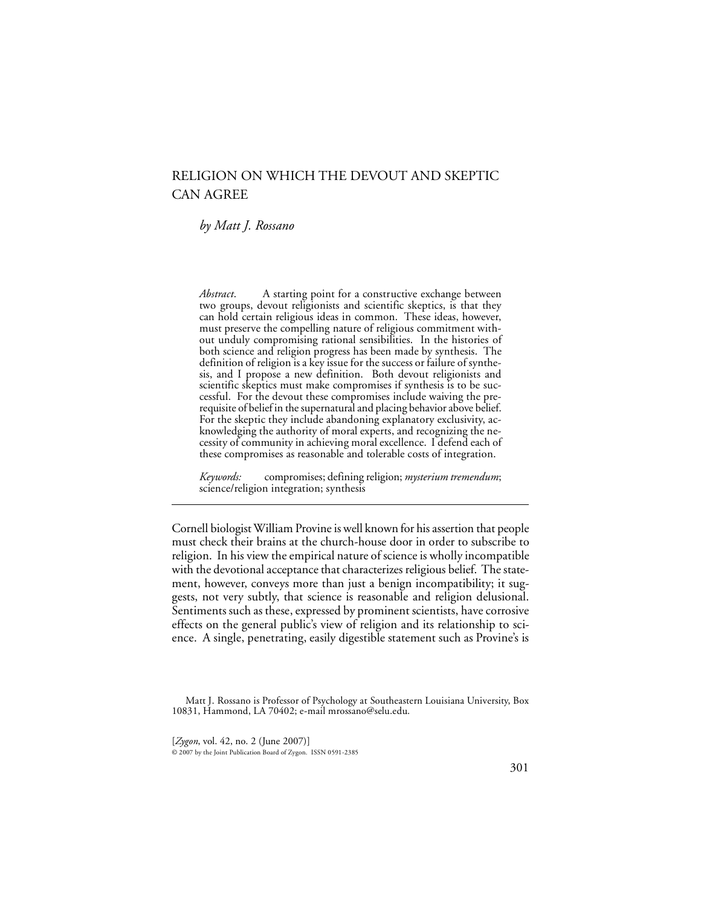# RELIGION ON WHICH THE DEVOUT AND SKEPTIC CAN AGREE

# *by Matt J. Rossano*

*Abstract*. A starting point for a constructive exchange between two groups, devout religionists and scientific skeptics, is that they can hold certain religious ideas in common. These ideas, however, must preserve the compelling nature of religious commitment without unduly compromising rational sensibilities. In the histories of both science and religion progress has been made by synthesis. The definition of religion is a key issue for the success or failure of synthesis, and I propose a new definition. Both devout religionists and scientific skeptics must make compromises if synthesis is to be successful. For the devout these compromises include waiving the prerequisite of belief in the supernatural and placing behavior above belief. For the skeptic they include abandoning explanatory exclusivity, acknowledging the authority of moral experts, and recognizing the necessity of community in achieving moral excellence. I defend each of these compromises as reasonable and tolerable costs of integration.

*Keywords:* compromises; defining religion; *mysterium tremendum*; science/religion integration; synthesis

Cornell biologist William Provine is well known for his assertion that people must check their brains at the church-house door in order to subscribe to religion. In his view the empirical nature of science is wholly incompatible with the devotional acceptance that characterizes religious belief. The statement, however, conveys more than just a benign incompatibility; it suggests, not very subtly, that science is reasonable and religion delusional. Sentiments such as these, expressed by prominent scientists, have corrosive effects on the general public's view of religion and its relationship to science. A single, penetrating, easily digestible statement such as Provine's is

[*Zygon*, vol. 42, no. 2 (June 2007)]

© 2007 by the Joint Publication Board of Zygon. ISSN 0591-2385

Matt J. Rossano is Professor of Psychology at Southeastern Louisiana University, Box 10831, Hammond, LA 70402; e-mail mrossano@selu.edu.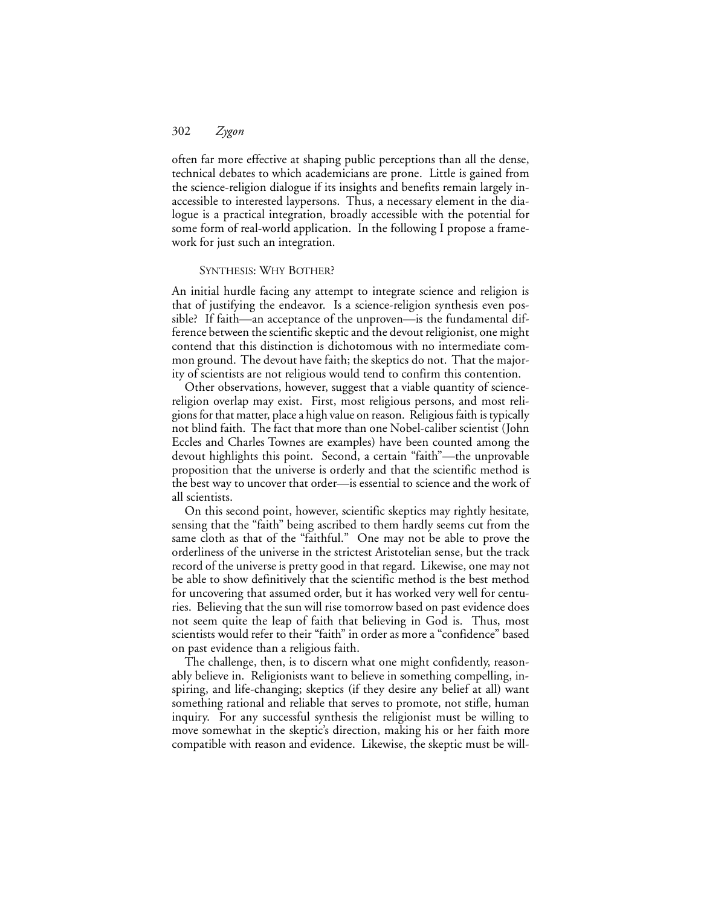often far more effective at shaping public perceptions than all the dense, technical debates to which academicians are prone. Little is gained from the science-religion dialogue if its insights and benefits remain largely inaccessible to interested laypersons. Thus, a necessary element in the dialogue is a practical integration, broadly accessible with the potential for some form of real-world application. In the following I propose a framework for just such an integration.

#### SYNTHESIS: WHY BOTHER?

An initial hurdle facing any attempt to integrate science and religion is that of justifying the endeavor. Is a science-religion synthesis even possible? If faith—an acceptance of the unproven—is the fundamental difference between the scientific skeptic and the devout religionist, one might contend that this distinction is dichotomous with no intermediate common ground. The devout have faith; the skeptics do not. That the majority of scientists are not religious would tend to confirm this contention.

Other observations, however, suggest that a viable quantity of sciencereligion overlap may exist. First, most religious persons, and most religions for that matter, place a high value on reason. Religious faith is typically not blind faith. The fact that more than one Nobel-caliber scientist (John Eccles and Charles Townes are examples) have been counted among the devout highlights this point. Second, a certain "faith"—the unprovable proposition that the universe is orderly and that the scientific method is the best way to uncover that order—is essential to science and the work of all scientists.

On this second point, however, scientific skeptics may rightly hesitate, sensing that the "faith" being ascribed to them hardly seems cut from the same cloth as that of the "faithful." One may not be able to prove the orderliness of the universe in the strictest Aristotelian sense, but the track record of the universe is pretty good in that regard. Likewise, one may not be able to show definitively that the scientific method is the best method for uncovering that assumed order, but it has worked very well for centuries. Believing that the sun will rise tomorrow based on past evidence does not seem quite the leap of faith that believing in God is. Thus, most scientists would refer to their "faith" in order as more a "confidence" based on past evidence than a religious faith.

The challenge, then, is to discern what one might confidently, reasonably believe in. Religionists want to believe in something compelling, inspiring, and life-changing; skeptics (if they desire any belief at all) want something rational and reliable that serves to promote, not stifle, human inquiry. For any successful synthesis the religionist must be willing to move somewhat in the skeptic's direction, making his or her faith more compatible with reason and evidence. Likewise, the skeptic must be will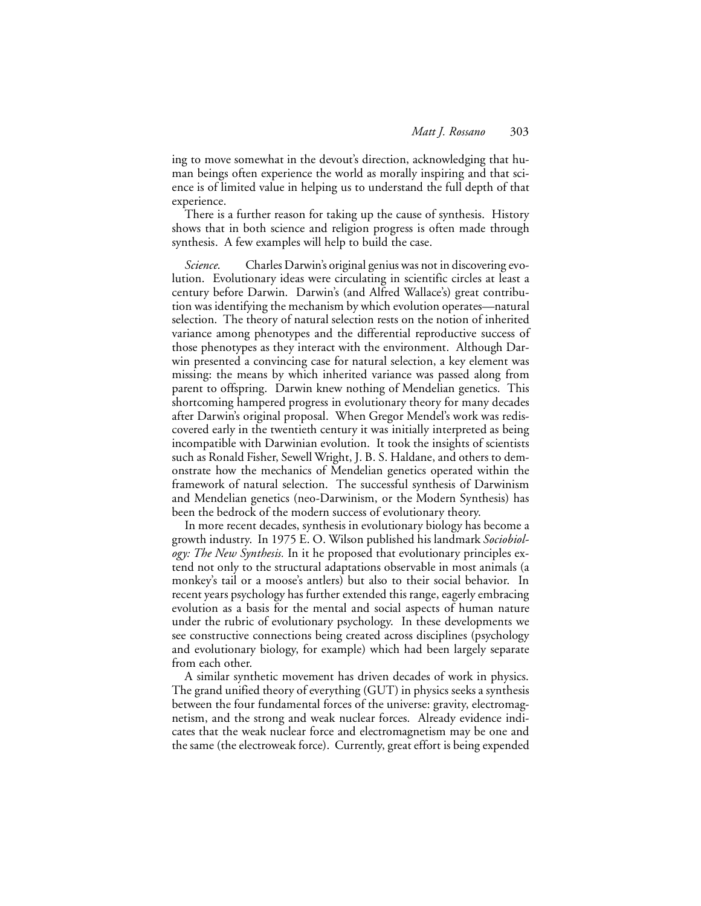ing to move somewhat in the devout's direction, acknowledging that human beings often experience the world as morally inspiring and that science is of limited value in helping us to understand the full depth of that experience.

There is a further reason for taking up the cause of synthesis. History shows that in both science and religion progress is often made through synthesis. A few examples will help to build the case.

*Science*. Charles Darwin's original genius was not in discovering evolution. Evolutionary ideas were circulating in scientific circles at least a century before Darwin. Darwin's (and Alfred Wallace's) great contribution was identifying the mechanism by which evolution operates—natural selection. The theory of natural selection rests on the notion of inherited variance among phenotypes and the differential reproductive success of those phenotypes as they interact with the environment. Although Darwin presented a convincing case for natural selection, a key element was missing: the means by which inherited variance was passed along from parent to offspring. Darwin knew nothing of Mendelian genetics. This shortcoming hampered progress in evolutionary theory for many decades after Darwin's original proposal. When Gregor Mendel's work was rediscovered early in the twentieth century it was initially interpreted as being incompatible with Darwinian evolution. It took the insights of scientists such as Ronald Fisher, Sewell Wright, J. B. S. Haldane, and others to demonstrate how the mechanics of Mendelian genetics operated within the framework of natural selection. The successful synthesis of Darwinism and Mendelian genetics (neo-Darwinism, or the Modern Synthesis) has been the bedrock of the modern success of evolutionary theory.

In more recent decades, synthesis in evolutionary biology has become a growth industry. In 1975 E. O. Wilson published his landmark *Sociobiology: The New Synthesis.* In it he proposed that evolutionary principles extend not only to the structural adaptations observable in most animals (a monkey's tail or a moose's antlers) but also to their social behavior. In recent years psychology has further extended this range, eagerly embracing evolution as a basis for the mental and social aspects of human nature under the rubric of evolutionary psychology. In these developments we see constructive connections being created across disciplines (psychology and evolutionary biology, for example) which had been largely separate from each other.

A similar synthetic movement has driven decades of work in physics. The grand unified theory of everything (GUT) in physics seeks a synthesis between the four fundamental forces of the universe: gravity, electromagnetism, and the strong and weak nuclear forces. Already evidence indicates that the weak nuclear force and electromagnetism may be one and the same (the electroweak force). Currently, great effort is being expended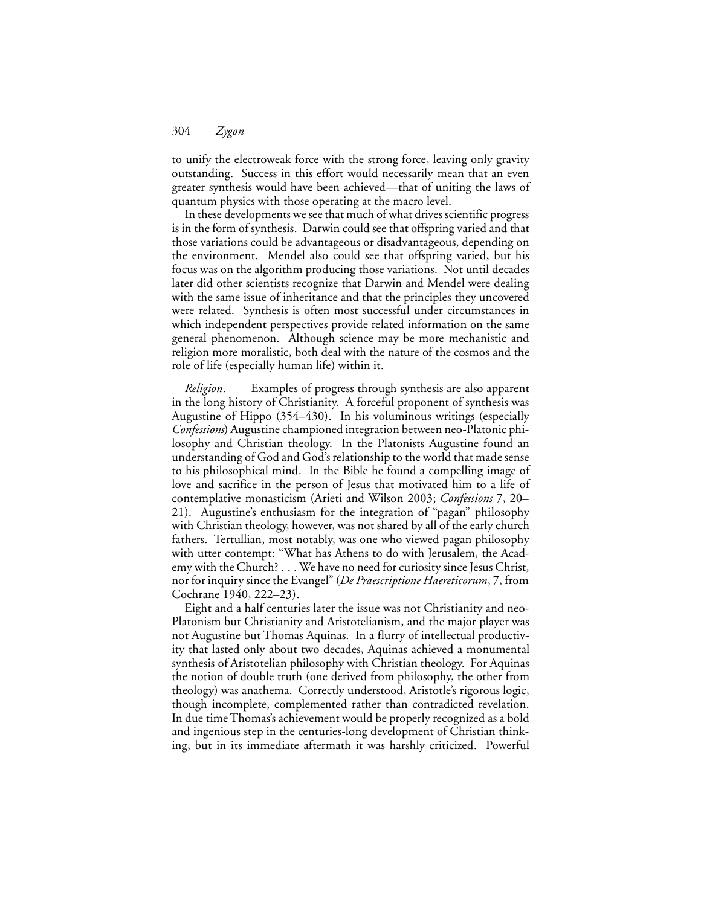to unify the electroweak force with the strong force, leaving only gravity outstanding. Success in this effort would necessarily mean that an even greater synthesis would have been achieved—that of uniting the laws of quantum physics with those operating at the macro level.

In these developments we see that much of what drives scientific progress is in the form of synthesis. Darwin could see that offspring varied and that those variations could be advantageous or disadvantageous, depending on the environment. Mendel also could see that offspring varied, but his focus was on the algorithm producing those variations. Not until decades later did other scientists recognize that Darwin and Mendel were dealing with the same issue of inheritance and that the principles they uncovered were related. Synthesis is often most successful under circumstances in which independent perspectives provide related information on the same general phenomenon. Although science may be more mechanistic and religion more moralistic, both deal with the nature of the cosmos and the role of life (especially human life) within it.

*Religion*. Examples of progress through synthesis are also apparent in the long history of Christianity. A forceful proponent of synthesis was Augustine of Hippo (354–430). In his voluminous writings (especially *Confessions*) Augustine championed integration between neo-Platonic philosophy and Christian theology. In the Platonists Augustine found an understanding of God and God's relationship to the world that made sense to his philosophical mind. In the Bible he found a compelling image of love and sacrifice in the person of Jesus that motivated him to a life of contemplative monasticism (Arieti and Wilson 2003; *Confessions* 7, 20– 21). Augustine's enthusiasm for the integration of "pagan" philosophy with Christian theology, however, was not shared by all of the early church fathers. Tertullian, most notably, was one who viewed pagan philosophy with utter contempt: "What has Athens to do with Jerusalem, the Academy with the Church? . . . We have no need for curiosity since Jesus Christ, nor for inquiry since the Evangel" (*De Praescriptione Haereticorum*, 7, from Cochrane 1940, 222–23).

Eight and a half centuries later the issue was not Christianity and neo-Platonism but Christianity and Aristotelianism, and the major player was not Augustine but Thomas Aquinas. In a flurry of intellectual productivity that lasted only about two decades, Aquinas achieved a monumental synthesis of Aristotelian philosophy with Christian theology. For Aquinas the notion of double truth (one derived from philosophy, the other from theology) was anathema. Correctly understood, Aristotle's rigorous logic, though incomplete, complemented rather than contradicted revelation. In due time Thomas's achievement would be properly recognized as a bold and ingenious step in the centuries-long development of Christian thinking, but in its immediate aftermath it was harshly criticized. Powerful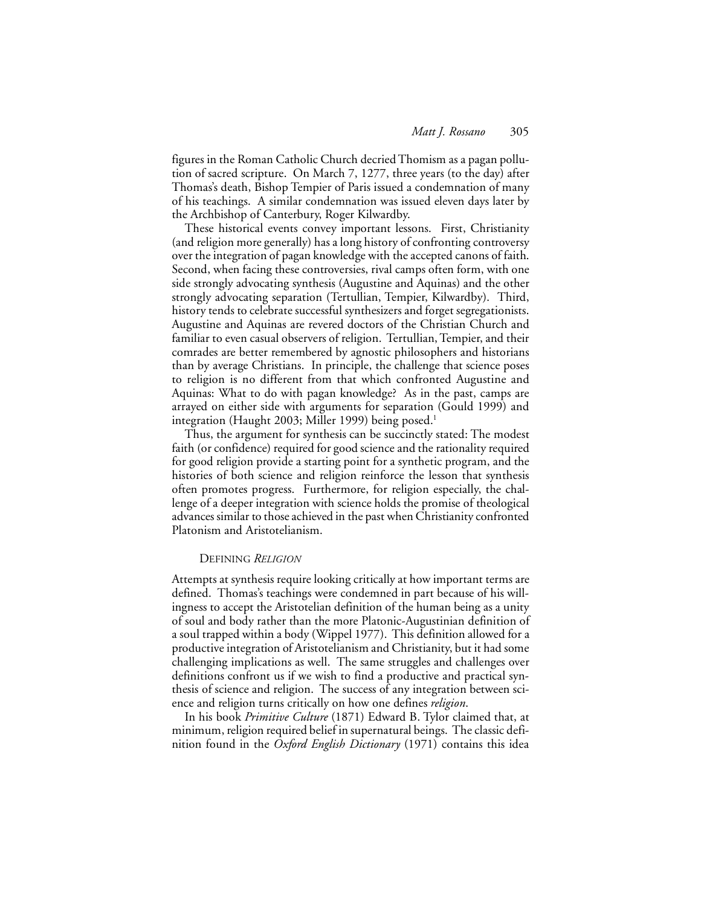figures in the Roman Catholic Church decried Thomism as a pagan pollution of sacred scripture. On March 7, 1277, three years (to the day) after Thomas's death, Bishop Tempier of Paris issued a condemnation of many of his teachings. A similar condemnation was issued eleven days later by the Archbishop of Canterbury, Roger Kilwardby.

These historical events convey important lessons. First, Christianity (and religion more generally) has a long history of confronting controversy over the integration of pagan knowledge with the accepted canons of faith. Second, when facing these controversies, rival camps often form, with one side strongly advocating synthesis (Augustine and Aquinas) and the other strongly advocating separation (Tertullian, Tempier, Kilwardby). Third, history tends to celebrate successful synthesizers and forget segregationists. Augustine and Aquinas are revered doctors of the Christian Church and familiar to even casual observers of religion. Tertullian, Tempier, and their comrades are better remembered by agnostic philosophers and historians than by average Christians. In principle, the challenge that science poses to religion is no different from that which confronted Augustine and Aquinas: What to do with pagan knowledge? As in the past, camps are arrayed on either side with arguments for separation (Gould 1999) and integration (Haught 2003; Miller 1999) being posed.<sup>1</sup>

Thus, the argument for synthesis can be succinctly stated: The modest faith (or confidence) required for good science and the rationality required for good religion provide a starting point for a synthetic program, and the histories of both science and religion reinforce the lesson that synthesis often promotes progress. Furthermore, for religion especially, the challenge of a deeper integration with science holds the promise of theological advances similar to those achieved in the past when Christianity confronted Platonism and Aristotelianism.

#### DEFINING *RELIGION*

Attempts at synthesis require looking critically at how important terms are defined. Thomas's teachings were condemned in part because of his willingness to accept the Aristotelian definition of the human being as a unity of soul and body rather than the more Platonic-Augustinian definition of a soul trapped within a body (Wippel 1977). This definition allowed for a productive integration of Aristotelianism and Christianity, but it had some challenging implications as well. The same struggles and challenges over definitions confront us if we wish to find a productive and practical synthesis of science and religion. The success of any integration between science and religion turns critically on how one defines *religion*.

In his book *Primitive Culture* (1871) Edward B. Tylor claimed that, at minimum, religion required belief in supernatural beings. The classic definition found in the *Oxford English Dictionary* (1971) contains this idea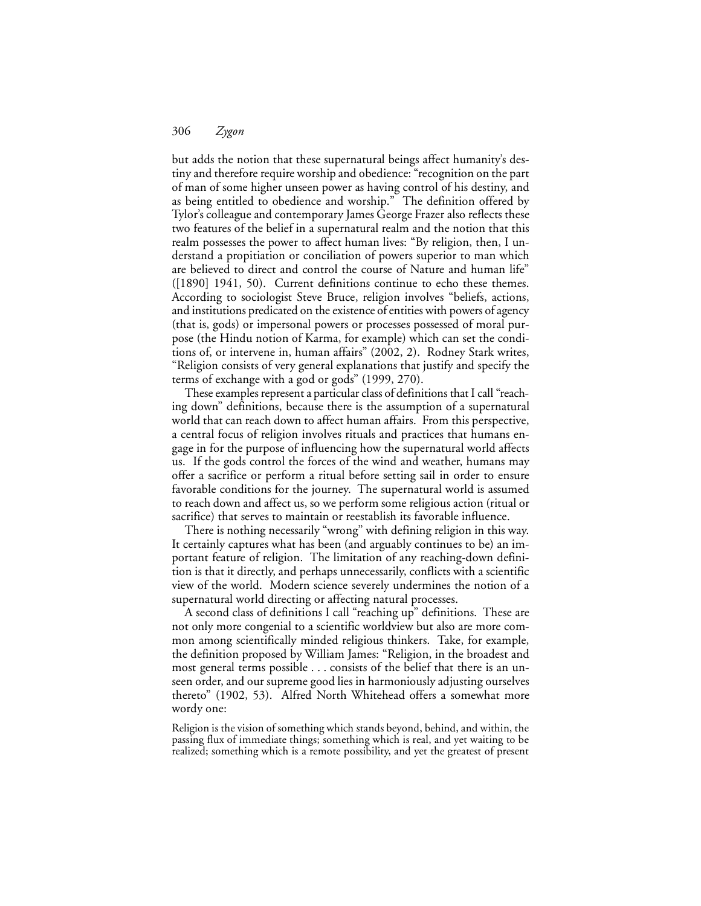but adds the notion that these supernatural beings affect humanity's destiny and therefore require worship and obedience: "recognition on the part of man of some higher unseen power as having control of his destiny, and as being entitled to obedience and worship." The definition offered by Tylor's colleague and contemporary James George Frazer also reflects these two features of the belief in a supernatural realm and the notion that this realm possesses the power to affect human lives: "By religion, then, I understand a propitiation or conciliation of powers superior to man which are believed to direct and control the course of Nature and human life" ([1890] 1941, 50). Current definitions continue to echo these themes. According to sociologist Steve Bruce, religion involves "beliefs, actions, and institutions predicated on the existence of entities with powers of agency (that is, gods) or impersonal powers or processes possessed of moral purpose (the Hindu notion of Karma, for example) which can set the conditions of, or intervene in, human affairs" (2002, 2). Rodney Stark writes, "Religion consists of very general explanations that justify and specify the terms of exchange with a god or gods" (1999, 270).

These examples represent a particular class of definitions that I call "reaching down" definitions, because there is the assumption of a supernatural world that can reach down to affect human affairs. From this perspective, a central focus of religion involves rituals and practices that humans engage in for the purpose of influencing how the supernatural world affects us. If the gods control the forces of the wind and weather, humans may offer a sacrifice or perform a ritual before setting sail in order to ensure favorable conditions for the journey. The supernatural world is assumed to reach down and affect us, so we perform some religious action (ritual or sacrifice) that serves to maintain or reestablish its favorable influence.

There is nothing necessarily "wrong" with defining religion in this way. It certainly captures what has been (and arguably continues to be) an important feature of religion. The limitation of any reaching-down definition is that it directly, and perhaps unnecessarily, conflicts with a scientific view of the world. Modern science severely undermines the notion of a supernatural world directing or affecting natural processes.

A second class of definitions I call "reaching up" definitions. These are not only more congenial to a scientific worldview but also are more common among scientifically minded religious thinkers. Take, for example, the definition proposed by William James: "Religion, in the broadest and most general terms possible . . . consists of the belief that there is an unseen order, and our supreme good lies in harmoniously adjusting ourselves thereto" (1902, 53). Alfred North Whitehead offers a somewhat more wordy one:

Religion is the vision of something which stands beyond, behind, and within, the passing flux of immediate things; something which is real, and yet waiting to be realized; something which is a remote possibility, and yet the greatest of present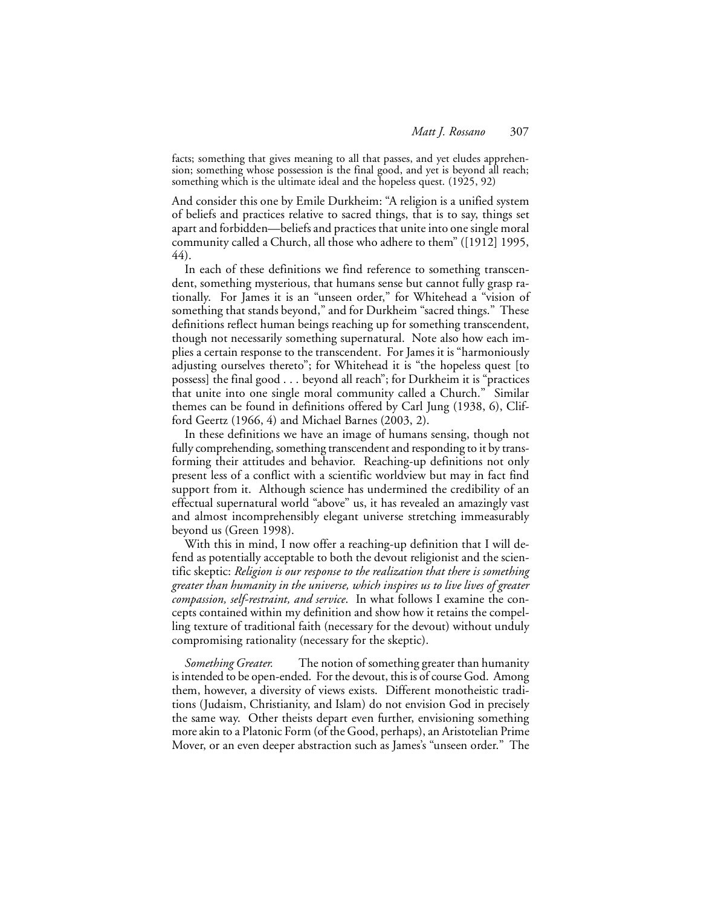facts; something that gives meaning to all that passes, and yet eludes apprehension; something whose possession is the final good, and yet is beyond all reach; something which is the ultimate ideal and the hopeless quest. (1925, 92)

And consider this one by Emile Durkheim: "A religion is a unified system of beliefs and practices relative to sacred things, that is to say, things set apart and forbidden—beliefs and practices that unite into one single moral community called a Church, all those who adhere to them" ([1912] 1995, 44).

In each of these definitions we find reference to something transcendent, something mysterious, that humans sense but cannot fully grasp rationally. For James it is an "unseen order," for Whitehead a "vision of something that stands beyond," and for Durkheim "sacred things." These definitions reflect human beings reaching up for something transcendent, though not necessarily something supernatural. Note also how each implies a certain response to the transcendent. For James it is "harmoniously adjusting ourselves thereto"; for Whitehead it is "the hopeless quest [to possess] the final good . . . beyond all reach"; for Durkheim it is "practices that unite into one single moral community called a Church." Similar themes can be found in definitions offered by Carl Jung (1938, 6), Clifford Geertz (1966, 4) and Michael Barnes (2003, 2).

In these definitions we have an image of humans sensing, though not fully comprehending, something transcendent and responding to it by transforming their attitudes and behavior. Reaching-up definitions not only present less of a conflict with a scientific worldview but may in fact find support from it. Although science has undermined the credibility of an effectual supernatural world "above" us, it has revealed an amazingly vast and almost incomprehensibly elegant universe stretching immeasurably beyond us (Green 1998).

With this in mind, I now offer a reaching-up definition that I will defend as potentially acceptable to both the devout religionist and the scientific skeptic: *Religion is our response to the realization that there is something greater than humanity in the universe, which inspires us to live lives of greater compassion, self-restraint, and service*. In what follows I examine the concepts contained within my definition and show how it retains the compelling texture of traditional faith (necessary for the devout) without unduly compromising rationality (necessary for the skeptic).

*Something Greater.* The notion of something greater than humanity is intended to be open-ended. For the devout, this is of course God. Among them, however, a diversity of views exists. Different monotheistic traditions (Judaism, Christianity, and Islam) do not envision God in precisely the same way. Other theists depart even further, envisioning something more akin to a Platonic Form (of the Good, perhaps), an Aristotelian Prime Mover, or an even deeper abstraction such as James's "unseen order." The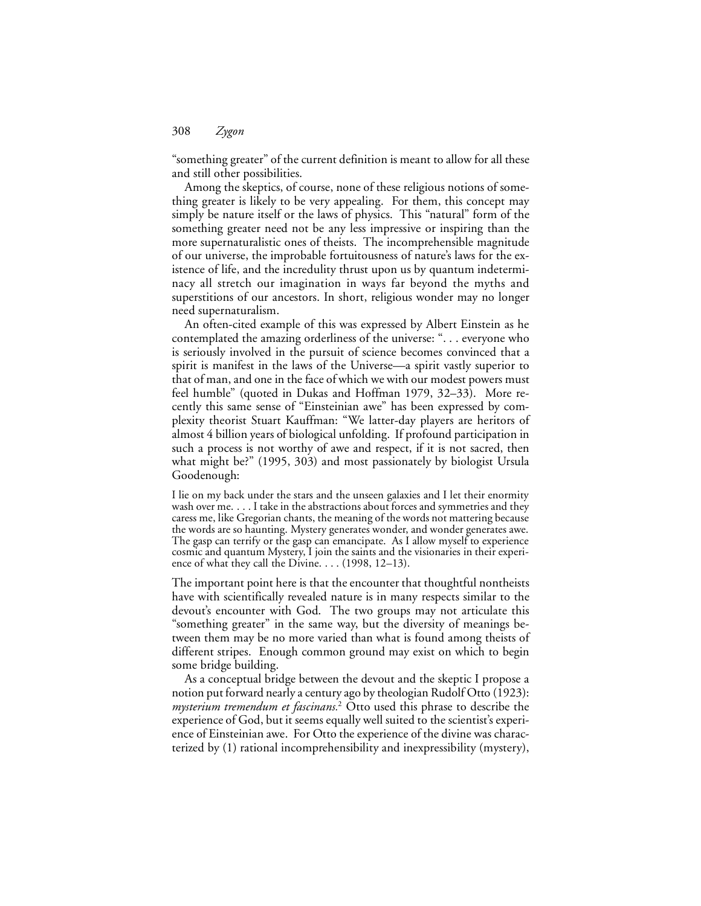"something greater" of the current definition is meant to allow for all these and still other possibilities.

Among the skeptics, of course, none of these religious notions of something greater is likely to be very appealing. For them, this concept may simply be nature itself or the laws of physics. This "natural" form of the something greater need not be any less impressive or inspiring than the more supernaturalistic ones of theists. The incomprehensible magnitude of our universe, the improbable fortuitousness of nature's laws for the existence of life, and the incredulity thrust upon us by quantum indeterminacy all stretch our imagination in ways far beyond the myths and superstitions of our ancestors. In short, religious wonder may no longer need supernaturalism.

An often-cited example of this was expressed by Albert Einstein as he contemplated the amazing orderliness of the universe: ". . . everyone who is seriously involved in the pursuit of science becomes convinced that a spirit is manifest in the laws of the Universe—a spirit vastly superior to that of man, and one in the face of which we with our modest powers must feel humble" (quoted in Dukas and Hoffman 1979, 32–33). More recently this same sense of "Einsteinian awe" has been expressed by complexity theorist Stuart Kauffman: "We latter-day players are heritors of almost 4 billion years of biological unfolding. If profound participation in such a process is not worthy of awe and respect, if it is not sacred, then what might be?" (1995, 303) and most passionately by biologist Ursula Goodenough:

I lie on my back under the stars and the unseen galaxies and I let their enormity wash over me. . . . I take in the abstractions about forces and symmetries and they caress me, like Gregorian chants, the meaning of the words not mattering because the words are so haunting. Mystery generates wonder, and wonder generates awe. The gasp can terrify or the gasp can emancipate. As I allow myself to experience cosmic and quantum Mystery, I join the saints and the visionaries in their experience of what they call the Divine. . . . (1998, 12–13).

The important point here is that the encounter that thoughtful nontheists have with scientifically revealed nature is in many respects similar to the devout's encounter with God. The two groups may not articulate this "something greater" in the same way, but the diversity of meanings between them may be no more varied than what is found among theists of different stripes. Enough common ground may exist on which to begin some bridge building.

As a conceptual bridge between the devout and the skeptic I propose a notion put forward nearly a century ago by theologian Rudolf Otto (1923): *mysterium tremendum et fascinans.*<sup>2</sup>Otto used this phrase to describe the experience of God, but it seems equally well suited to the scientist's experience of Einsteinian awe. For Otto the experience of the divine was characterized by (1) rational incomprehensibility and inexpressibility (mystery),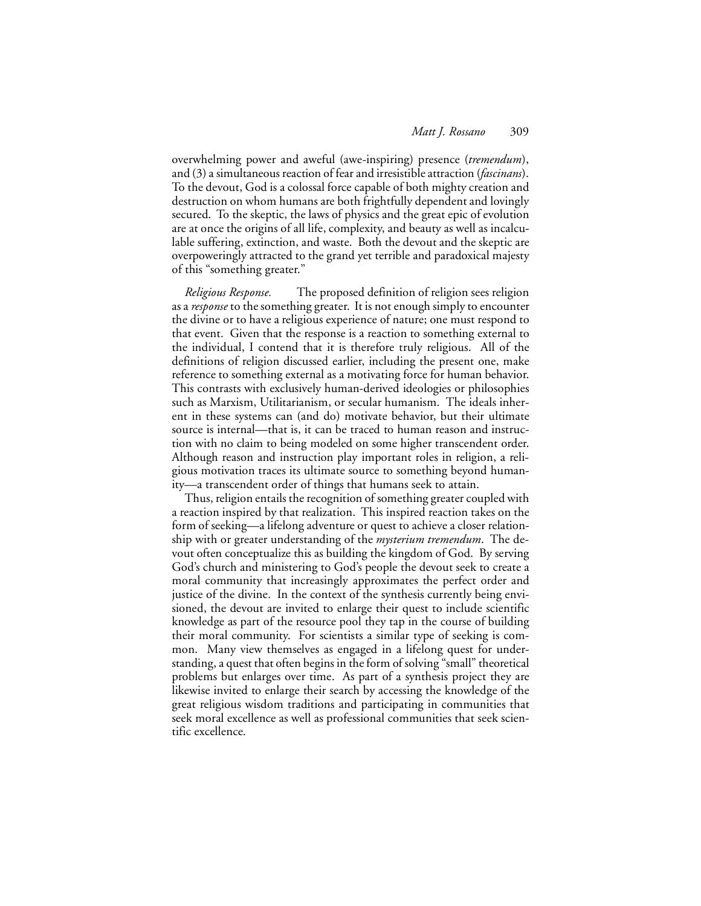overwhelming power and aweful (awe-inspiring) presence (*tremendum*), and (3) a simultaneous reaction of fear and irresistible attraction (*fascinans*). To the devout, God is a colossal force capable of both mighty creation and destruction on whom humans are both frightfully dependent and lovingly secured. To the skeptic, the laws of physics and the great epic of evolution are at once the origins of all life, complexity, and beauty as well as incalculable suffering, extinction, and waste. Both the devout and the skeptic are overpoweringly attracted to the grand yet terrible and paradoxical majesty of this "something greater."

*Religious Response.* The proposed definition of religion sees religion as a *response* to the something greater. It is not enough simply to encounter the divine or to have a religious experience of nature; one must respond to that event. Given that the response is a reaction to something external to the individual, I contend that it is therefore truly religious. All of the definitions of religion discussed earlier, including the present one, make reference to something external as a motivating force for human behavior. This contrasts with exclusively human-derived ideologies or philosophies such as Marxism, Utilitarianism, or secular humanism. The ideals inherent in these systems can (and do) motivate behavior, but their ultimate source is internal—that is, it can be traced to human reason and instruction with no claim to being modeled on some higher transcendent order. Although reason and instruction play important roles in religion, a religious motivation traces its ultimate source to something beyond humanity—a transcendent order of things that humans seek to attain.

Thus, religion entails the recognition of something greater coupled with a reaction inspired by that realization. This inspired reaction takes on the form of seeking—a lifelong adventure or quest to achieve a closer relationship with or greater understanding of the *mysterium tremendum*. The devout often conceptualize this as building the kingdom of God. By serving God's church and ministering to God's people the devout seek to create a moral community that increasingly approximates the perfect order and justice of the divine. In the context of the synthesis currently being envisioned, the devout are invited to enlarge their quest to include scientific knowledge as part of the resource pool they tap in the course of building their moral community. For scientists a similar type of seeking is common. Many view themselves as engaged in a lifelong quest for understanding, a quest that often begins in the form of solving "small" theoretical problems but enlarges over time. As part of a synthesis project they are likewise invited to enlarge their search by accessing the knowledge of the great religious wisdom traditions and participating in communities that seek moral excellence as well as professional communities that seek scientific excellence.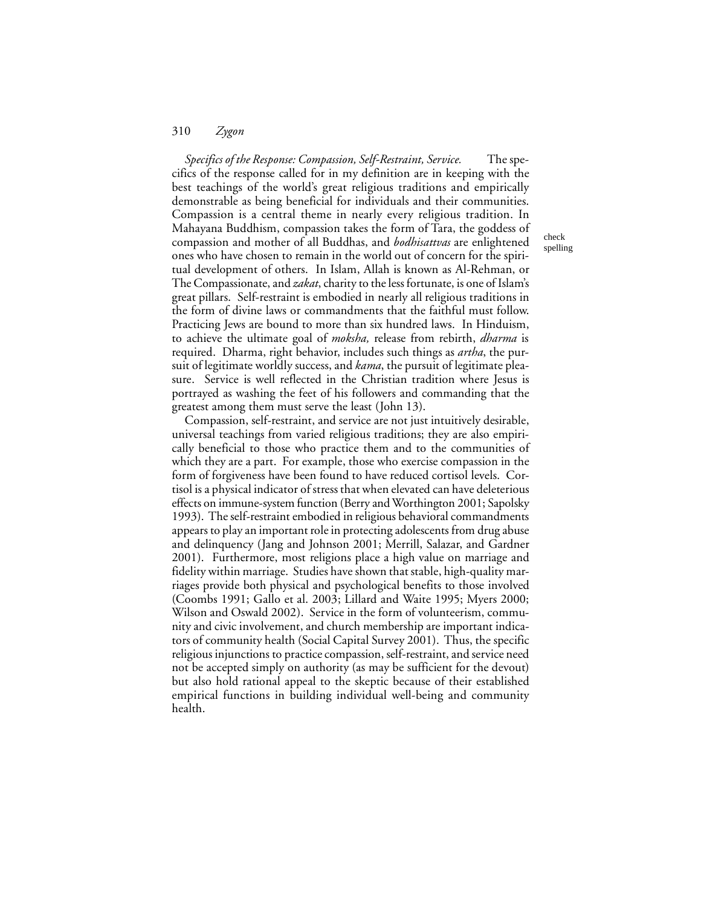*Specifics of the Response: Compassion, Self-Restraint, Service.* The specifics of the response called for in my definition are in keeping with the best teachings of the world's great religious traditions and empirically demonstrable as being beneficial for individuals and their communities. Compassion is a central theme in nearly every religious tradition. In Mahayana Buddhism, compassion takes the form of Tara, the goddess of compassion and mother of all Buddhas, and *bodhisattvas* are enlightened ones who have chosen to remain in the world out of concern for the spiritual development of others. In Islam, Allah is known as Al-Rehman, or The Compassionate, and *zakat*, charity to the less fortunate, is one of Islam's great pillars. Self-restraint is embodied in nearly all religious traditions in the form of divine laws or commandments that the faithful must follow. Practicing Jews are bound to more than six hundred laws. In Hinduism, to achieve the ultimate goal of *moksha,* release from rebirth, *dharma* is required. Dharma, right behavior, includes such things as *artha*, the pursuit of legitimate worldly success, and *kama*, the pursuit of legitimate pleasure. Service is well reflected in the Christian tradition where Jesus is portrayed as washing the feet of his followers and commanding that the greatest among them must serve the least (John 13).

Compassion, self-restraint, and service are not just intuitively desirable, universal teachings from varied religious traditions; they are also empirically beneficial to those who practice them and to the communities of which they are a part. For example, those who exercise compassion in the form of forgiveness have been found to have reduced cortisol levels. Cortisol is a physical indicator of stress that when elevated can have deleterious effects on immune-system function (Berry and Worthington 2001; Sapolsky 1993). The self-restraint embodied in religious behavioral commandments appears to play an important role in protecting adolescents from drug abuse and delinquency (Jang and Johnson 2001; Merrill, Salazar, and Gardner 2001). Furthermore, most religions place a high value on marriage and fidelity within marriage. Studies have shown that stable, high-quality marriages provide both physical and psychological benefits to those involved (Coombs 1991; Gallo et al. 2003; Lillard and Waite 1995; Myers 2000; Wilson and Oswald 2002). Service in the form of volunteerism, community and civic involvement, and church membership are important indicators of community health (Social Capital Survey 2001). Thus, the specific religious injunctions to practice compassion, self-restraint, and service need not be accepted simply on authority (as may be sufficient for the devout) but also hold rational appeal to the skeptic because of their established empirical functions in building individual well-being and community health.

check spelling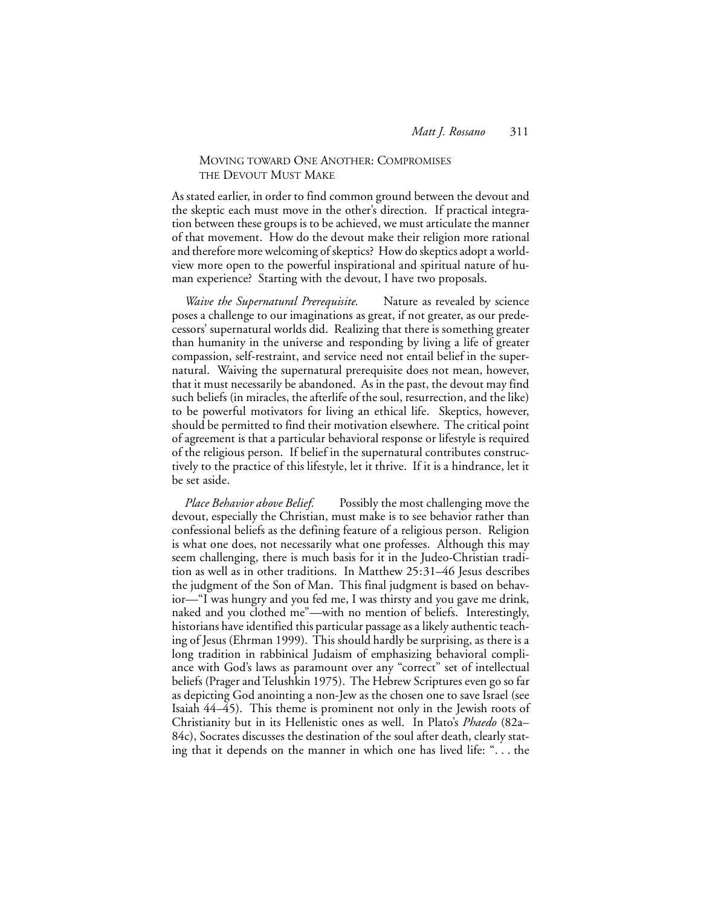## MOVING TOWARD ONE ANOTHER: COMPROMISES THE DEVOUT MUST MAKE

As stated earlier, in order to find common ground between the devout and the skeptic each must move in the other's direction. If practical integration between these groups is to be achieved, we must articulate the manner of that movement. How do the devout make their religion more rational and therefore more welcoming of skeptics? How do skeptics adopt a worldview more open to the powerful inspirational and spiritual nature of human experience? Starting with the devout, I have two proposals.

*Waive the Supernatural Prerequisite.* Nature as revealed by science poses a challenge to our imaginations as great, if not greater, as our predecessors' supernatural worlds did. Realizing that there is something greater than humanity in the universe and responding by living a life of greater compassion, self-restraint, and service need not entail belief in the supernatural. Waiving the supernatural prerequisite does not mean, however, that it must necessarily be abandoned. As in the past, the devout may find such beliefs (in miracles, the afterlife of the soul, resurrection, and the like) to be powerful motivators for living an ethical life. Skeptics, however, should be permitted to find their motivation elsewhere. The critical point of agreement is that a particular behavioral response or lifestyle is required of the religious person. If belief in the supernatural contributes constructively to the practice of this lifestyle, let it thrive. If it is a hindrance, let it be set aside.

*Place Behavior above Belief.* Possibly the most challenging move the devout, especially the Christian, must make is to see behavior rather than confessional beliefs as the defining feature of a religious person. Religion is what one does, not necessarily what one professes. Although this may seem challenging, there is much basis for it in the Judeo-Christian tradition as well as in other traditions. In Matthew 25:31–46 Jesus describes the judgment of the Son of Man. This final judgment is based on behavior—"I was hungry and you fed me, I was thirsty and you gave me drink, naked and you clothed me"—with no mention of beliefs. Interestingly, historians have identified this particular passage as a likely authentic teaching of Jesus (Ehrman 1999). This should hardly be surprising, as there is a long tradition in rabbinical Judaism of emphasizing behavioral compliance with God's laws as paramount over any "correct" set of intellectual beliefs (Prager and Telushkin 1975). The Hebrew Scriptures even go so far as depicting God anointing a non-Jew as the chosen one to save Israel (see Isaiah 44–45). This theme is prominent not only in the Jewish roots of Christianity but in its Hellenistic ones as well. In Plato's *Phaedo* (82a– 84c), Socrates discusses the destination of the soul after death, clearly stating that it depends on the manner in which one has lived life: ". . . the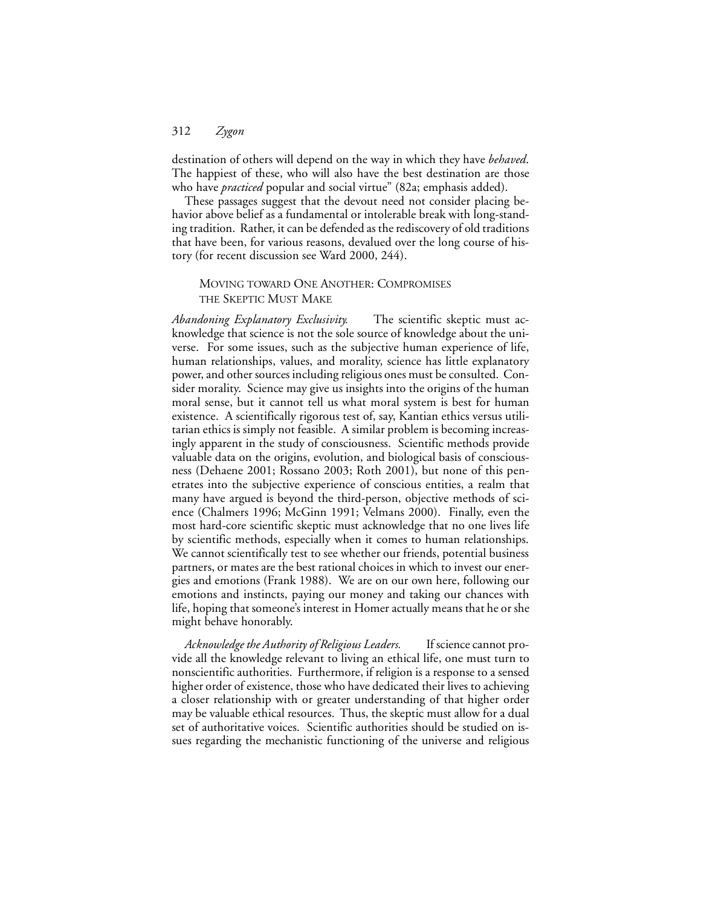destination of others will depend on the way in which they have *behaved*. The happiest of these, who will also have the best destination are those who have *practiced* popular and social virtue" (82a; emphasis added).

These passages suggest that the devout need not consider placing behavior above belief as a fundamental or intolerable break with long-standing tradition. Rather, it can be defended as the rediscovery of old traditions that have been, for various reasons, devalued over the long course of history (for recent discussion see Ward 2000, 244).

## MOVING TOWARD ONE ANOTHER: COMPROMISES THE SKEPTIC MUST MAKE

*Abandoning Explanatory Exclusivity.* The scientific skeptic must acknowledge that science is not the sole source of knowledge about the universe. For some issues, such as the subjective human experience of life, human relationships, values, and morality, science has little explanatory power, and other sources including religious ones must be consulted. Consider morality. Science may give us insights into the origins of the human moral sense, but it cannot tell us what moral system is best for human existence. A scientifically rigorous test of, say, Kantian ethics versus utilitarian ethics is simply not feasible. A similar problem is becoming increasingly apparent in the study of consciousness. Scientific methods provide valuable data on the origins, evolution, and biological basis of consciousness (Dehaene 2001; Rossano 2003; Roth 2001), but none of this penetrates into the subjective experience of conscious entities, a realm that many have argued is beyond the third-person, objective methods of science (Chalmers 1996; McGinn 1991; Velmans 2000). Finally, even the most hard-core scientific skeptic must acknowledge that no one lives life by scientific methods, especially when it comes to human relationships. We cannot scientifically test to see whether our friends, potential business partners, or mates are the best rational choices in which to invest our energies and emotions (Frank 1988). We are on our own here, following our emotions and instincts, paying our money and taking our chances with life, hoping that someone's interest in Homer actually means that he or she might behave honorably.

*Acknowledge the Authority of Religious Leaders.* If science cannot provide all the knowledge relevant to living an ethical life, one must turn to nonscientific authorities. Furthermore, if religion is a response to a sensed higher order of existence, those who have dedicated their lives to achieving a closer relationship with or greater understanding of that higher order may be valuable ethical resources. Thus, the skeptic must allow for a dual set of authoritative voices. Scientific authorities should be studied on issues regarding the mechanistic functioning of the universe and religious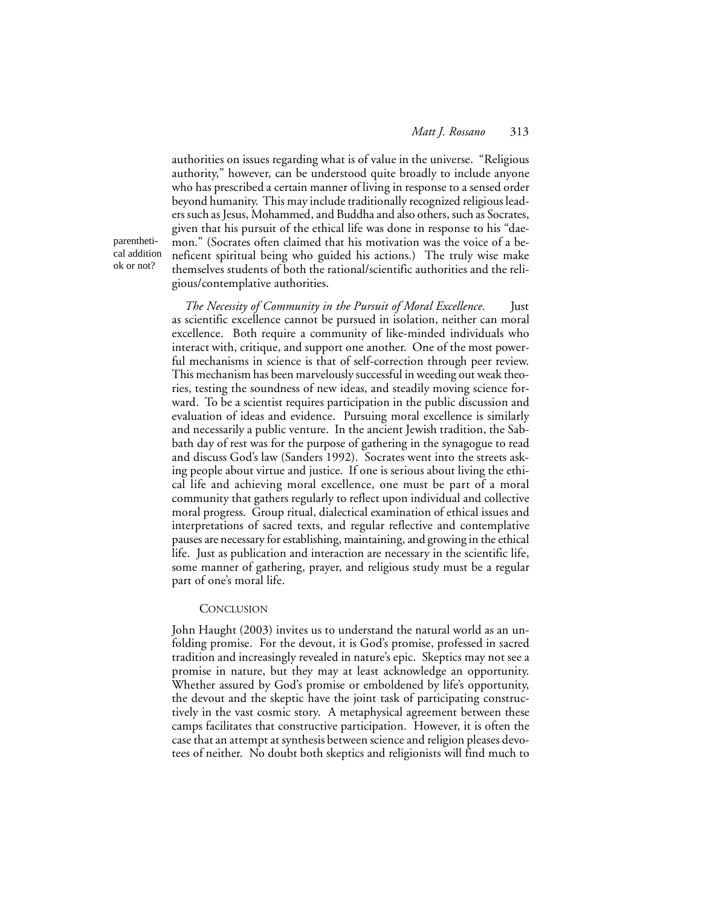authorities on issues regarding what is of value in the universe. "Religious authority," however, can be understood quite broadly to include anyone who has prescribed a certain manner of living in response to a sensed order beyond humanity. This may include traditionally recognized religious leaders such as Jesus, Mohammed, and Buddha and also others, such as Socrates, given that his pursuit of the ethical life was done in response to his "daemon." (Socrates often claimed that his motivation was the voice of a beneficent spiritual being who guided his actions.) The truly wise make themselves students of both the rational/scientific authorities and the religious/contemplative authorities.

parenthetical addition ok or not?

> *The Necessity of Community in the Pursuit of Moral Excellence.* Just as scientific excellence cannot be pursued in isolation, neither can moral excellence. Both require a community of like-minded individuals who interact with, critique, and support one another. One of the most powerful mechanisms in science is that of self-correction through peer review. This mechanism has been marvelously successful in weeding out weak theories, testing the soundness of new ideas, and steadily moving science forward. To be a scientist requires participation in the public discussion and evaluation of ideas and evidence. Pursuing moral excellence is similarly and necessarily a public venture. In the ancient Jewish tradition, the Sabbath day of rest was for the purpose of gathering in the synagogue to read and discuss God's law (Sanders 1992). Socrates went into the streets asking people about virtue and justice. If one is serious about living the ethical life and achieving moral excellence, one must be part of a moral community that gathers regularly to reflect upon individual and collective moral progress. Group ritual, dialectical examination of ethical issues and interpretations of sacred texts, and regular reflective and contemplative pauses are necessary for establishing, maintaining, and growing in the ethical life. Just as publication and interaction are necessary in the scientific life, some manner of gathering, prayer, and religious study must be a regular part of one's moral life.

#### **CONCLUSION**

John Haught (2003) invites us to understand the natural world as an unfolding promise. For the devout, it is God's promise, professed in sacred tradition and increasingly revealed in nature's epic. Skeptics may not see a promise in nature, but they may at least acknowledge an opportunity. Whether assured by God's promise or emboldened by life's opportunity, the devout and the skeptic have the joint task of participating constructively in the vast cosmic story. A metaphysical agreement between these camps facilitates that constructive participation. However, it is often the case that an attempt at synthesis between science and religion pleases devotees of neither. No doubt both skeptics and religionists will find much to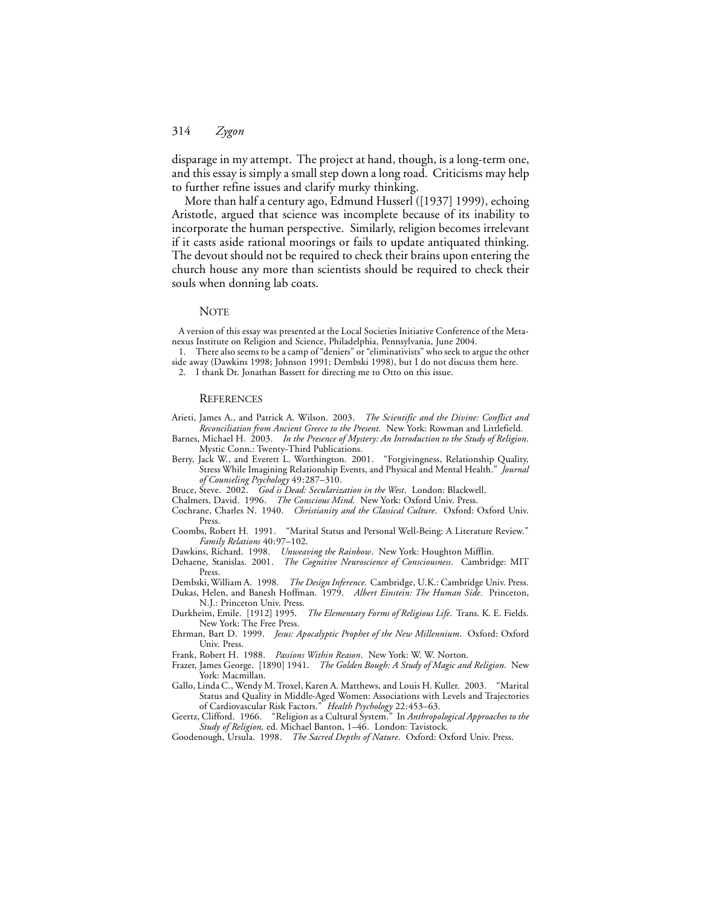disparage in my attempt. The project at hand, though, is a long-term one, and this essay is simply a small step down a long road. Criticisms may help to further refine issues and clarify murky thinking.

More than half a century ago, Edmund Husserl ([1937] 1999), echoing Aristotle, argued that science was incomplete because of its inability to incorporate the human perspective. Similarly, religion becomes irrelevant if it casts aside rational moorings or fails to update antiquated thinking. The devout should not be required to check their brains upon entering the church house any more than scientists should be required to check their souls when donning lab coats.

#### NOTE

A version of this essay was presented at the Local Societies Initiative Conference of the Metanexus Institute on Religion and Science, Philadelphia, Pennsylvania, June 2004.

1. There also seems to be a camp of "deniers" or "eliminativists" who seek to argue the other side away (Dawkins 1998; Johnson 1991; Dembski 1998), but I do not discuss them here.

2. I thank Dr. Jonathan Bassett for directing me to Otto on this issue.

#### **REFERENCES**

Arieti, James A., and Patrick A. Wilson. 2003. *The Scientific and the Divine: Conflict and Reconciliation from Ancient Greece to the Present.* New York: Rowman and Littlefield.

Barnes, Michael H. 2003. *In the Presence of Mystery: An Introduction to the Study of Religion*. Mystic Conn.: Twenty-Third Publications.

Berry, Jack W., and Everett L. Worthington. 2001. "Forgivingness, Relationship Quality, Stress While Imagining Relationship Events, and Physical and Mental Health." *Journal of Counseling Psychology* 49:287–310.

Bruce, Steve. 2002. *God is Dead: Secularization in the West*. London: Blackwell.

Chalmers, David. 1996. *The Conscious Mind.* New York: Oxford Univ. Press.

Cochrane, Charles N. 1940. *Christianity and the Classical Culture*. Oxford: Oxford Univ. Press.

Coombs, Robert H. 1991. "Marital Status and Personal Well-Being: A Literature Review." *Family Relations* 40:97–102.

Dawkins, Richard. 1998. *Unweaving the Rainbow*. New York: Houghton Mifflin.

Dehaene, Stanislas. 2001. *The Cognitive Neuroscience of Consciousness.* Cambridge: MIT **Press** 

Dembski, William A. 1998. *The Design Inference*. Cambridge, U.K.: Cambridge Univ. Press. Dukas, Helen, and Banesh Hoffman. 1979. *Albert Einstein: The Human Side*. Princeton, N.J.: Princeton Univ. Press.

- Durkheim, Emile. [1912] 1995. *The Elementary Forms of Religious Life*. Trans. K. E. Fields. New York: The Free Press.
- Ehrman, Bart D. 1999. *Jesus: Apocalyptic Prophet of the New Millennium*. Oxford: Oxford Univ. Press.
- Frank, Robert H. 1988. *Passions Within Reason*. New York: W. W. Norton.
- Frazer, James George. [1890] 1941. *The Golden Bough: A Study of Magic and Religion*. New York: Macmillan.
- Gallo, Linda C., Wendy M. Troxel, Karen A. Matthews, and Louis H. Kuller. 2003. "Marital Status and Quality in Middle-Aged Women: Associations with Levels and Trajectories of Cardiovascular Risk Factors." *Health Psychology* 22:453–63.
- Geertz, Clifford. 1966. "Religion as a Cultural System." In *Anthropological Approaches to the Study of Religion,* ed. Michael Banton, 1–46. London: Tavistock.

Goodenough, Ursula. 1998. *The Sacred Depths of Nature*. Oxford: Oxford Univ. Press.